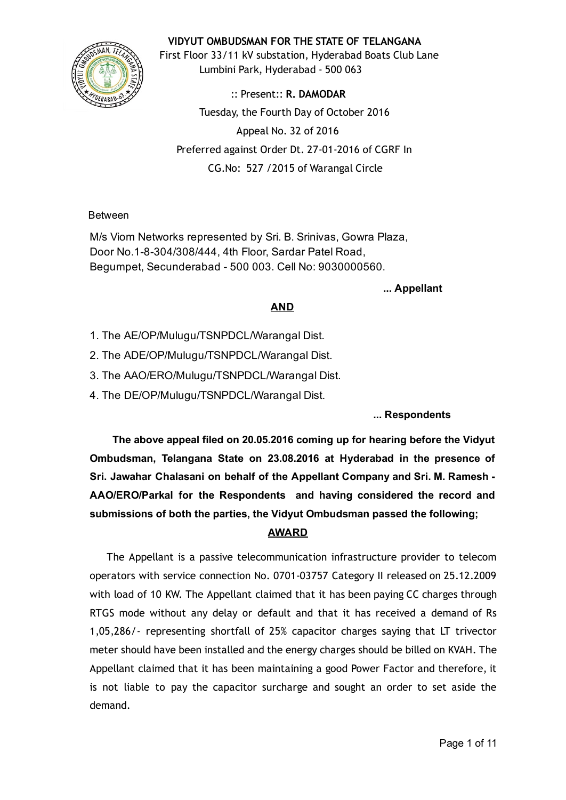

VIDYUT OMBUDSMAN FOR THE STATE OF TELANGANA

First Floor 33/11 kV substation, Hyderabad Boats Club Lane Lumbini Park, Hyderabad ‐ 500 063

:: Present:: R. DAMODAR Tuesday, the Fourth Day of October 2016 Appeal No. 32 of 2016 Preferred against Order Dt. 27‐01‐2016 of CGRF In CG.No: 527 /2015 of Warangal Circle

Between

M/s Viom Networks represented by Sri. B. Srinivas, Gowra Plaza, Door No.1-8-304/308/444, 4th Floor, Sardar Patel Road, Begumpet, Secunderabad 500 003. Cell No: 9030000560.

... Appellant

### AND

- 1. The AE/OP/Mulugu/TSNPDCL/Warangal Dist.
- 2. The ADE/OP/Mulugu/TSNPDCL/Warangal Dist.
- 3. The AAO/ERO/Mulugu/TSNPDCL/Warangal Dist.
- 4. The DE/OP/Mulugu/TSNPDCL/Warangal Dist.

... Respondents

The above appeal filed on 20.05.2016 coming up for hearing before the Vidyut Ombudsman, Telangana State on 23.08.2016 at Hyderabad in the presence of Sri. Jawahar Chalasani on behalf of the Appellant Company and Sri. M. Ramesh AAO/ERO/Parkal for the Respondents and having considered the record and submissions of both the parties, the Vidyut Ombudsman passed the following;

## AWARD

The Appellant is a passive telecommunication infrastructure provider to telecom operators with service connection No. 0701‐03757 Category II released on 25.12.2009 with load of 10 KW. The Appellant claimed that it has been paying CC charges through RTGS mode without any delay or default and that it has received a demand of Rs 1,05,286/‐ representing shortfall of 25% capacitor charges saying that LT trivector meter should have been installed and the energy charges should be billed on KVAH. The Appellant claimed that it has been maintaining a good Power Factor and therefore, it is not liable to pay the capacitor surcharge and sought an order to set aside the demand.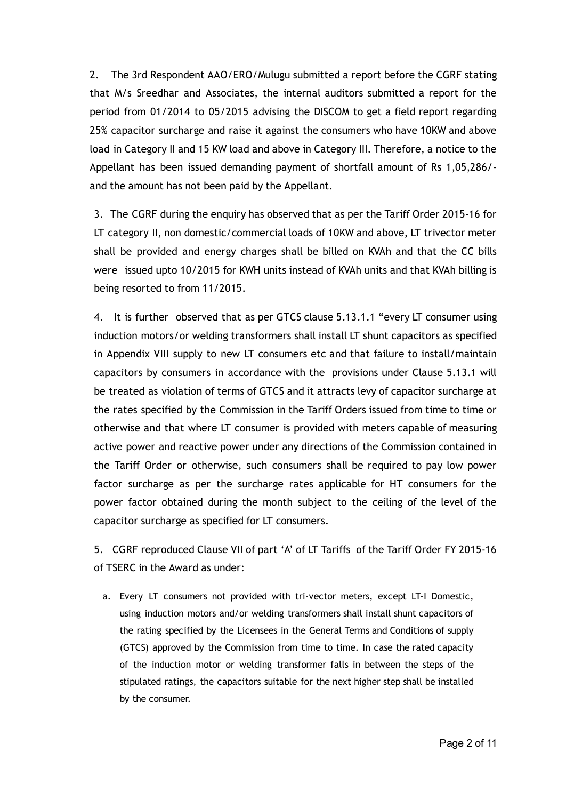2. The 3rd Respondent AAO/ERO/Mulugu submitted a report before the CGRF stating that M/s Sreedhar and Associates, the internal auditors submitted a report for the period from 01/2014 to 05/2015 advising the DISCOM to get a field report regarding 25% capacitor surcharge and raise it against the consumers who have 10KW and above load in Category II and 15 KW load and above in Category III. Therefore, a notice to the Appellant has been issued demanding payment of shortfall amount of Rs 1,05,286/‐ and the amount has not been paid by the Appellant.

3. The CGRF during the enquiry has observed that as per the Tariff Order 2015‐16 for LT category II, non domestic/commercial loads of 10KW and above, LT trivector meter shall be provided and energy charges shall be billed on KVAh and that the CC bills were issued upto 10/2015 for KWH units instead of KVAh units and that KVAh billing is being resorted to from 11/2015.

4. It is further observed that as per GTCS clause 5.13.1.1 "every LT consumer using induction motors/or welding transformers shall install LT shunt capacitors as specified in Appendix VIII supply to new LT consumers etc and that failure to install/maintain capacitors by consumers in accordance with the provisions under Clause 5.13.1 will be treated as violation of terms of GTCS and it attracts levy of capacitor surcharge at the rates specified by the Commission in the Tariff Orders issued from time to time or otherwise and that where LT consumer is provided with meters capable of measuring active power and reactive power under any directions of the Commission contained in the Tariff Order or otherwise, such consumers shall be required to pay low power factor surcharge as per the surcharge rates applicable for HT consumers for the power factor obtained during the month subject to the ceiling of the level of the capacitor surcharge as specified for LT consumers.

5. CGRF reproduced Clause VII of part 'A' of LT Tariffs of the Tariff Order FY 2015-16 of TSERC in the Award as under:

a. Every LT consumers not provided with tri-vector meters, except LT-I Domestic, using induction motors and/or welding transformers shall install shunt capacitors of the rating specified by the Licensees in the General Terms and Conditions of supply (GTCS) approved by the Commission from time to time. In case the rated capacity of the induction motor or welding transformer falls in between the steps of the stipulated ratings, the capacitors suitable for the next higher step shall be installed by the consumer.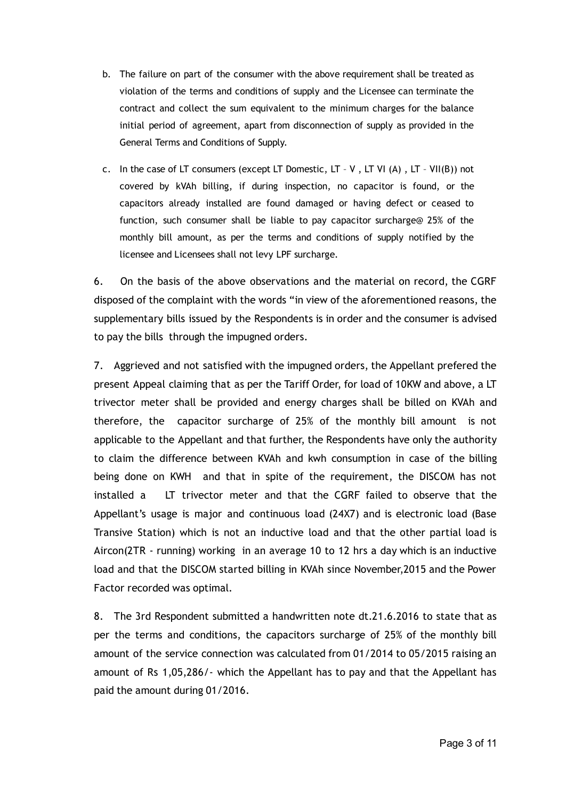- b. The failure on part of the consumer with the above requirement shall be treated as violation of the terms and conditions of supply and the Licensee can terminate the contract and collect the sum equivalent to the minimum charges for the balance initial period of agreement, apart from disconnection of supply as provided in the General Terms and Conditions of Supply.
- c. In the case of LT consumers (except LT Domestic, LT V , LT VI (A) , LT VII(B)) not covered by kVAh billing, if during inspection, no capacitor is found, or the capacitors already installed are found damaged or having defect or ceased to function, such consumer shall be liable to pay capacitor surcharge@ 25% of the monthly bill amount, as per the terms and conditions of supply notified by the licensee and Licensees shall not levy LPF surcharge.

6. On the basis of the above observations and the material on record, the CGRF disposed of the complaint with the words "in view of the aforementioned reasons, the supplementary bills issued by the Respondents is in order and the consumer is advised to pay the bills through the impugned orders.

7. Aggrieved and not satisfied with the impugned orders, the Appellant prefered the present Appeal claiming that as per the Tariff Order, for load of 10KW and above, a LT trivector meter shall be provided and energy charges shall be billed on KVAh and therefore, the capacitor surcharge of 25% of the monthly bill amount is not applicable to the Appellant and that further, the Respondents have only the authority to claim the difference between KVAh and kwh consumption in case of the billing being done on KWH and that in spite of the requirement, the DISCOM has not installed a LT trivector meter and that the CGRF failed to observe that the Appellant's usage is major and continuous load (24X7) and is electronic load (Base Transive Station) which is not an inductive load and that the other partial load is Aircon(2TR ‐ running) working in an average 10 to 12 hrs a day which is an inductive load and that the DISCOM started billing in KVAh since November,2015 and the Power Factor recorded was optimal.

8. The 3rd Respondent submitted a handwritten note dt.21.6.2016 to state that as per the terms and conditions, the capacitors surcharge of 25% of the monthly bill amount of the service connection was calculated from 01/2014 to 05/2015 raising an amount of Rs 1,05,286/‐ which the Appellant has to pay and that the Appellant has paid the amount during 01/2016.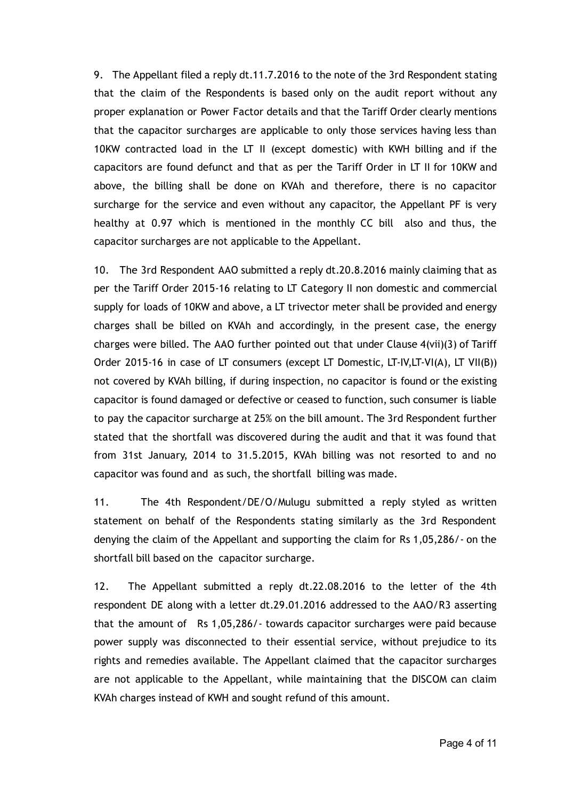9. The Appellant filed a reply dt.11.7.2016 to the note of the 3rd Respondent stating that the claim of the Respondents is based only on the audit report without any proper explanation or Power Factor details and that the Tariff Order clearly mentions that the capacitor surcharges are applicable to only those services having less than 10KW contracted load in the LT II (except domestic) with KWH billing and if the capacitors are found defunct and that as per the Tariff Order in LT II for 10KW and above, the billing shall be done on KVAh and therefore, there is no capacitor surcharge for the service and even without any capacitor, the Appellant PF is very healthy at 0.97 which is mentioned in the monthly CC bill also and thus, the capacitor surcharges are not applicable to the Appellant.

10. The 3rd Respondent AAO submitted a reply dt.20.8.2016 mainly claiming that as per the Tariff Order 2015‐16 relating to LT Category II non domestic and commercial supply for loads of 10KW and above, a LT trivector meter shall be provided and energy charges shall be billed on KVAh and accordingly, in the present case, the energy charges were billed. The AAO further pointed out that under Clause 4(vii)(3) of Tariff Order 2015‐16 in case of LT consumers (except LT Domestic, LT‐IV,LT‐VI(A), LT VII(B)) not covered by KVAh billing, if during inspection, no capacitor is found or the existing capacitor is found damaged or defective or ceased to function, such consumer is liable to pay the capacitor surcharge at 25% on the bill amount. The 3rd Respondent further stated that the shortfall was discovered during the audit and that it was found that from 31st January, 2014 to 31.5.2015, KVAh billing was not resorted to and no capacitor was found and as such, the shortfall billing was made.

11. The 4th Respondent/DE/O/Mulugu submitted a reply styled as written statement on behalf of the Respondents stating similarly as the 3rd Respondent denying the claim of the Appellant and supporting the claim for Rs 1,05,286/‐ on the shortfall bill based on the capacitor surcharge.

12. The Appellant submitted a reply dt.22.08.2016 to the letter of the 4th respondent DE along with a letter dt.29.01.2016 addressed to the AAO/R3 asserting that the amount of Rs 1,05,286/‐ towards capacitor surcharges were paid because power supply was disconnected to their essential service, without prejudice to its rights and remedies available. The Appellant claimed that the capacitor surcharges are not applicable to the Appellant, while maintaining that the DISCOM can claim KVAh charges instead of KWH and sought refund of this amount.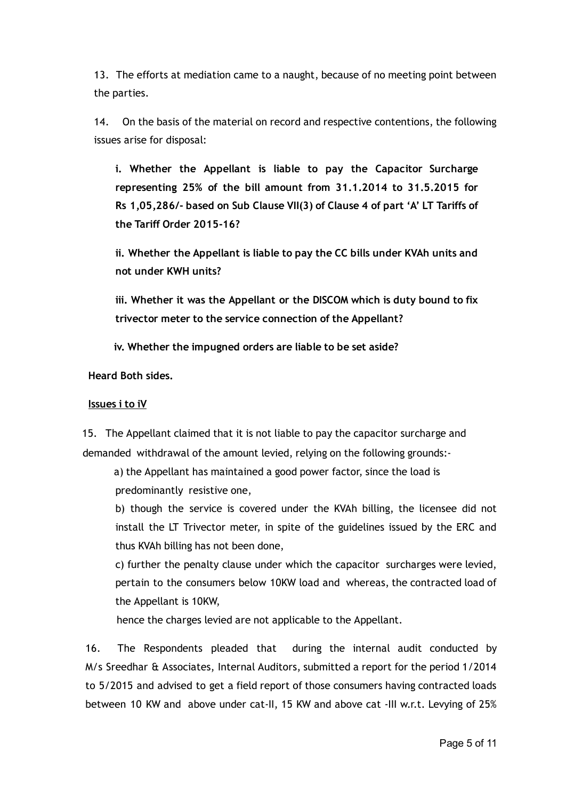13. The efforts at mediation came to a naught, because of no meeting point between the parties.

14. On the basis of the material on record and respective contentions, the following issues arise for disposal:

i. Whether the Appellant is liable to pay the Capacitor Surcharge representing 25% of the bill amount from 31.1.2014 to 31.5.2015 for Rs 1,05,286/‐ based on Sub Clause VII(3) of Clause 4 of part 'A' LT Tariffs of the Tariff Order 2015‐16?

ii. Whether the Appellant is liable to pay the CC bills under KVAh units and not under KWH units?

iii. Whether it was the Appellant or the DISCOM which is duty bound to fix trivector meter to the service connection of the Appellant?

iv. Whether the impugned orders are liable to be set aside?

Heard Both sides.

#### Issues i to iV

15. The Appellant claimed that it is not liable to pay the capacitor surcharge and demanded withdrawal of the amount levied, relying on the following grounds:‐

a) the Appellant has maintained a good power factor, since the load is predominantly resistive one,

b) though the service is covered under the KVAh billing, the licensee did not install the LT Trivector meter, in spite of the guidelines issued by the ERC and thus KVAh billing has not been done,

c) further the penalty clause under which the capacitor surcharges were levied, pertain to the consumers below 10KW load and whereas, the contracted load of the Appellant is 10KW,

hence the charges levied are not applicable to the Appellant.

16. The Respondents pleaded that during the internal audit conducted by M/s Sreedhar & Associates, Internal Auditors, submitted a report for the period 1/2014 to 5/2015 and advised to get a field report of those consumers having contracted loads between 10 KW and above under cat-II, 15 KW and above cat -III w.r.t. Levying of 25%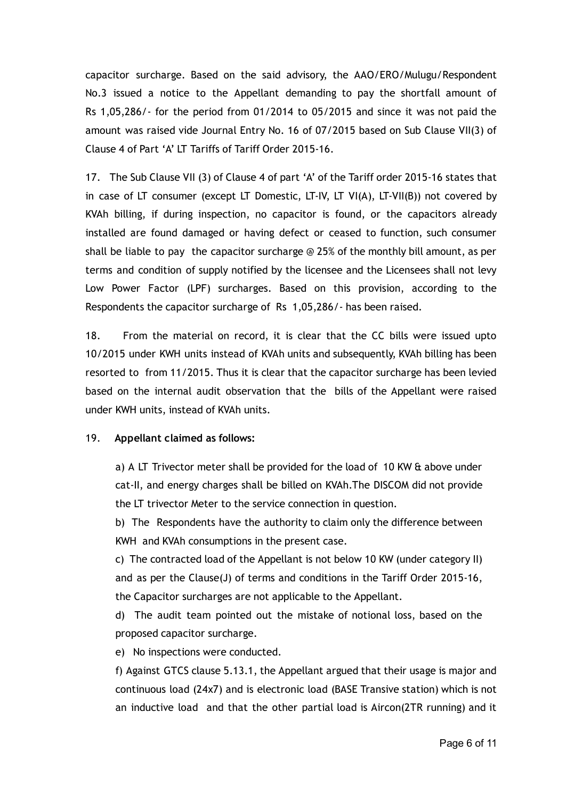capacitor surcharge. Based on the said advisory, the AAO/ERO/Mulugu/Respondent No.3 issued a notice to the Appellant demanding to pay the shortfall amount of Rs 1,05,286/‐ for the period from 01/2014 to 05/2015 and since it was not paid the amount was raised vide Journal Entry No. 16 of 07/2015 based on Sub Clause VII(3) of Clause 4 of Part 'A' LT Tariffs of Tariff Order 2015‐16.

17. The Sub Clause VII (3) of Clause 4 of part 'A' of the Tariff order 2015‐16 states that in case of LT consumer (except LT Domestic, LT-IV, LT VI(A), LT-VII(B)) not covered by KVAh billing, if during inspection, no capacitor is found, or the capacitors already installed are found damaged or having defect or ceased to function, such consumer shall be liable to pay the capacitor surcharge  $\odot$  25% of the monthly bill amount, as per terms and condition of supply notified by the licensee and the Licensees shall not levy Low Power Factor (LPF) surcharges. Based on this provision, according to the Respondents the capacitor surcharge of Rs 1,05,286/‐ has been raised.

18. From the material on record, it is clear that the CC bills were issued upto 10/2015 under KWH units instead of KVAh units and subsequently, KVAh billing has been resorted to from 11/2015. Thus it is clear that the capacitor surcharge has been levied based on the internal audit observation that the bills of the Appellant were raised under KWH units, instead of KVAh units.

### 19. Appellant claimed as follows:

a) A LT Trivector meter shall be provided for the load of 10 KW & above under cat‐II, and energy charges shall be billed on KVAh.The DISCOM did not provide the LT trivector Meter to the service connection in question.

b) The Respondents have the authority to claim only the difference between KWH and KVAh consumptions in the present case.

c) The contracted load of the Appellant is not below 10 KW (under category II) and as per the Clause(J) of terms and conditions in the Tariff Order 2015‐16, the Capacitor surcharges are not applicable to the Appellant.

d) The audit team pointed out the mistake of notional loss, based on the proposed capacitor surcharge.

e) No inspections were conducted.

f) Against GTCS clause 5.13.1, the Appellant argued that their usage is major and continuous load (24x7) and is electronic load (BASE Transive station) which is not an inductive load and that the other partial load is Aircon(2TR running) and it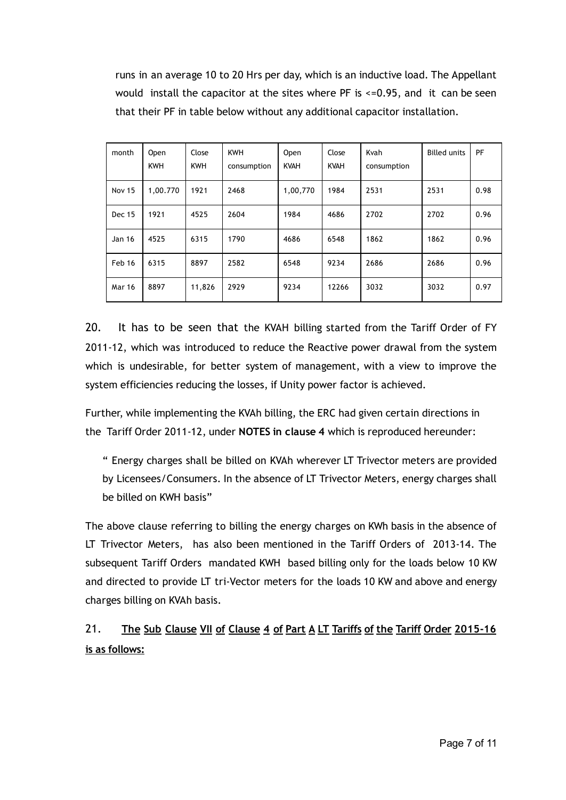runs in an average 10 to 20 Hrs per day, which is an inductive load. The Appellant would install the capacitor at the sites where PF is  $\leq$ =0.95, and it can be seen that their PF in table below without any additional capacitor installation.

| month         | Open<br><b>KWH</b> | Close<br><b>KWH</b> | <b>KWH</b><br>consumption | <b>Open</b><br><b>KVAH</b> | Close<br><b>KVAH</b> | Kvah<br>consumption | <b>Billed units</b> | PF   |
|---------------|--------------------|---------------------|---------------------------|----------------------------|----------------------|---------------------|---------------------|------|
| <b>Nov 15</b> | 1,00.770           | 1921                | 2468                      | 1,00,770                   | 1984                 | 2531                | 2531                | 0.98 |
| <b>Dec 15</b> | 1921               | 4525                | 2604                      | 1984                       | 4686                 | 2702                | 2702                | 0.96 |
| Jan 16        | 4525               | 6315                | 1790                      | 4686                       | 6548                 | 1862                | 1862                | 0.96 |
| Feb 16        | 6315               | 8897                | 2582                      | 6548                       | 9234                 | 2686                | 2686                | 0.96 |
| <b>Mar 16</b> | 8897               | 11,826              | 2929                      | 9234                       | 12266                | 3032                | 3032                | 0.97 |

20. It has to be seen that the KVAH billing started from the Tariff Order of FY 2011-12, which was introduced to reduce the Reactive power drawal from the system which is undesirable, for better system of management, with a view to improve the system efficiencies reducing the losses, if Unity power factor is achieved.

Further, while implementing the KVAh billing, the ERC had given certain directions in the Tariff Order 2011-12, under NOTES in clause 4 which is reproduced hereunder:

" Energy charges shall be billed on KVAh wherever LT Trivector meters are provided by Licensees/Consumers. In the absence of LT Trivector Meters, energy charges shall be billed on KWH basis"

The above clause referring to billing the energy charges on KWh basis in the absence of LT Trivector Meters, has also been mentioned in the Tariff Orders of 2013‐14. The subsequent Tariff Orders mandated KWH based billing only for the loads below 10 KW and directed to provide LT tri‐Vector meters for the loads 10 KW and above and energy charges billing on KVAh basis.

# 21. The Sub Clause VII of Clause 4 of Part A LT Tariffs of the Tariff Order 2015-16 is as follows: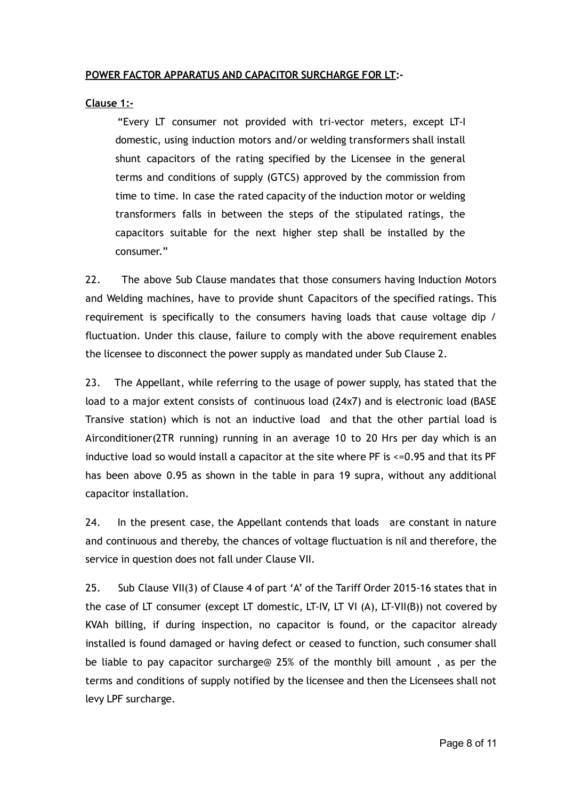### POWER FACTOR APPARATUS AND CAPACITOR SURCHARGE FOR LT:‐

### Clause 1:‐

"Every LT consumer not provided with tri‐vector meters, except LT‐I domestic, using induction motors and/or welding transformers shall install shunt capacitors of the rating specified by the Licensee in the general terms and conditions of supply (GTCS) approved by the commission from time to time. In case the rated capacity of the induction motor or welding transformers falls in between the steps of the stipulated ratings, the capacitors suitable for the next higher step shall be installed by the consumer."

22. The above Sub Clause mandates that those consumers having Induction Motors and Welding machines, have to provide shunt Capacitors of the specified ratings. This requirement is specifically to the consumers having loads that cause voltage dip / fluctuation. Under this clause, failure to comply with the above requirement enables the licensee to disconnect the power supply as mandated under Sub Clause 2.

23. The Appellant, while referring to the usage of power supply, has stated that the load to a major extent consists of continuous load (24x7) and is electronic load (BASE Transive station) which is not an inductive load and that the other partial load is Airconditioner(2TR running) running in an average 10 to 20 Hrs per day which is an inductive load so would install a capacitor at the site where PF is <=0.95 and that its PF has been above 0.95 as shown in the table in para 19 supra, without any additional capacitor installation.

24. In the present case, the Appellant contends that loads are constant in nature and continuous and thereby, the chances of voltage fluctuation is nil and therefore, the service in question does not fall under Clause VII.

25. Sub Clause VII(3) of Clause 4 of part 'A' of the Tariff Order 2015‐16 states that in the case of LT consumer (except LT domestic, LT‐IV, LT VI (A), LT‐VII(B)) not covered by KVAh billing, if during inspection, no capacitor is found, or the capacitor already installed is found damaged or having defect or ceased to function, such consumer shall be liable to pay capacitor surcharge@ 25% of the monthly bill amount , as per the terms and conditions of supply notified by the licensee and then the Licensees shall not levy LPF surcharge.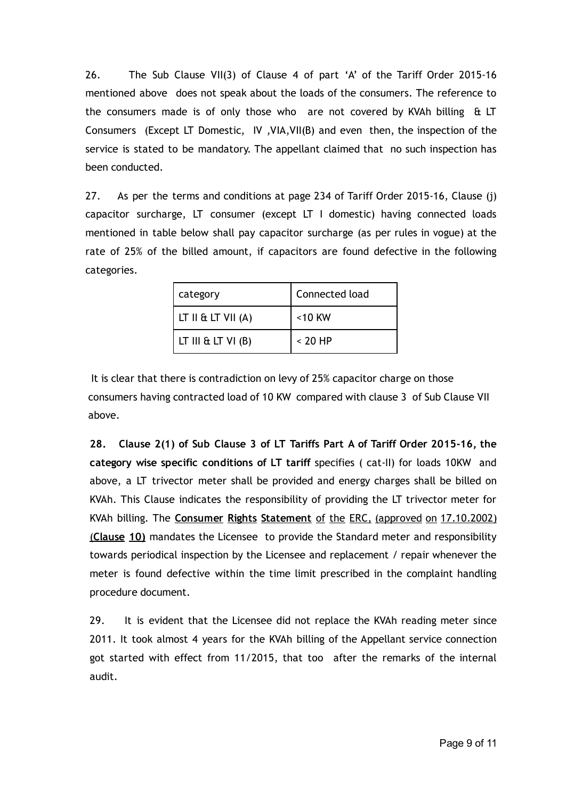26. The Sub Clause VII(3) of Clause 4 of part 'A' of the Tariff Order 2015-16 mentioned above does not speak about the loads of the consumers. The reference to the consumers made is of only those who are not covered by KVAh billing & LT Consumers (Except LT Domestic, IV ,VIA,VII(B) and even then, the inspection of the service is stated to be mandatory. The appellant claimed that no such inspection has been conducted.

27. As per the terms and conditions at page 234 of Tariff Order 2015-16, Clause (j) capacitor surcharge, LT consumer (except LT I domestic) having connected loads mentioned in table below shall pay capacitor surcharge (as per rules in vogue) at the rate of 25% of the billed amount, if capacitors are found defective in the following categories.

| category             | Connected load |  |  |
|----------------------|----------------|--|--|
| LT II & LT VII $(A)$ | <10 KW         |  |  |
| LT III & LT VI $(B)$ | $< 20$ HP      |  |  |

It is clear that there is contradiction on levy of 25% capacitor charge on those consumers having contracted load of 10 KW compared with clause 3 of Sub Clause VII above.

28. Clause 2(1) of Sub Clause 3 of LT Tariffs Part A of Tariff Order 2015‐16, the category wise specific conditions of LT tariff specifies ( cat‐II) for loads 10KW and above, a LT trivector meter shall be provided and energy charges shall be billed on KVAh. This Clause indicates the responsibility of providing the LT trivector meter for KVAh billing. The Consumer Rights Statement of the ERC, (approved on 17.10.2002) (Clause 10) mandates the Licensee to provide the Standard meter and responsibility towards periodical inspection by the Licensee and replacement / repair whenever the meter is found defective within the time limit prescribed in the complaint handling procedure document.

29. It is evident that the Licensee did not replace the KVAh reading meter since 2011. It took almost 4 years for the KVAh billing of the Appellant service connection got started with effect from 11/2015, that too after the remarks of the internal audit.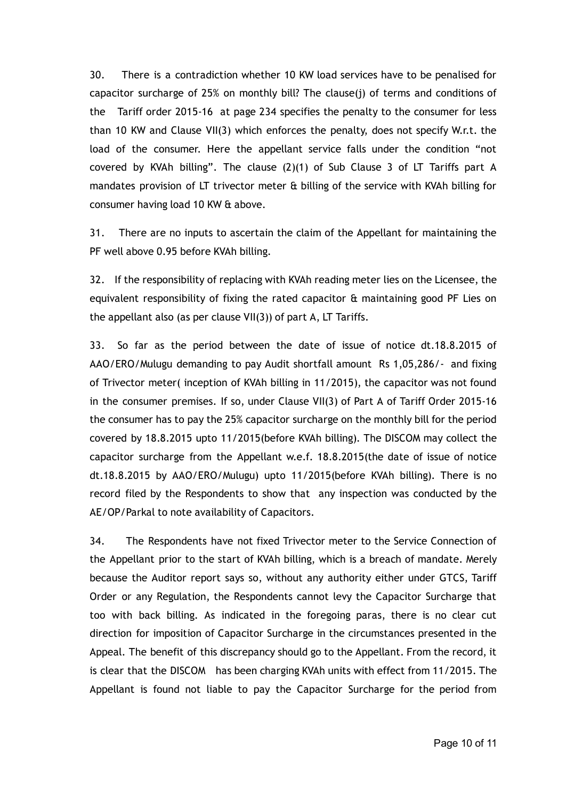30. There is a contradiction whether 10 KW load services have to be penalised for capacitor surcharge of 25% on monthly bill? The clause(j) of terms and conditions of the Tariff order 2015‐16 at page 234 specifies the penalty to the consumer for less than 10 KW and Clause VII(3) which enforces the penalty, does not specify W.r.t. the load of the consumer. Here the appellant service falls under the condition "not covered by KVAh billing". The clause (2)(1) of Sub Clause 3 of LT Tariffs part A mandates provision of LT trivector meter & billing of the service with KVAh billing for consumer having load 10 KW & above.

31. There are no inputs to ascertain the claim of the Appellant for maintaining the PF well above 0.95 before KVAh billing.

32. If the responsibility of replacing with KVAh reading meter lies on the Licensee, the equivalent responsibility of fixing the rated capacitor  $\hat{a}$  maintaining good PF Lies on the appellant also (as per clause VII(3)) of part A, LT Tariffs.

33. So far as the period between the date of issue of notice dt.18.8.2015 of AAO/ERO/Mulugu demanding to pay Audit shortfall amount Rs 1,05,286/‐ and fixing of Trivector meter( inception of KVAh billing in 11/2015), the capacitor was not found in the consumer premises. If so, under Clause VII(3) of Part A of Tariff Order 2015‐16 the consumer has to pay the 25% capacitor surcharge on the monthly bill for the period covered by 18.8.2015 upto 11/2015(before KVAh billing). The DISCOM may collect the capacitor surcharge from the Appellant w.e.f. 18.8.2015(the date of issue of notice dt.18.8.2015 by AAO/ERO/Mulugu) upto 11/2015(before KVAh billing). There is no record filed by the Respondents to show that any inspection was conducted by the AE/OP/Parkal to note availability of Capacitors.

34. The Respondents have not fixed Trivector meter to the Service Connection of the Appellant prior to the start of KVAh billing, which is a breach of mandate. Merely because the Auditor report says so, without any authority either under GTCS, Tariff Order or any Regulation, the Respondents cannot levy the Capacitor Surcharge that too with back billing. As indicated in the foregoing paras, there is no clear cut direction for imposition of Capacitor Surcharge in the circumstances presented in the Appeal. The benefit of this discrepancy should go to the Appellant. From the record, it is clear that the DISCOM has been charging KVAh units with effect from 11/2015. The Appellant is found not liable to pay the Capacitor Surcharge for the period from